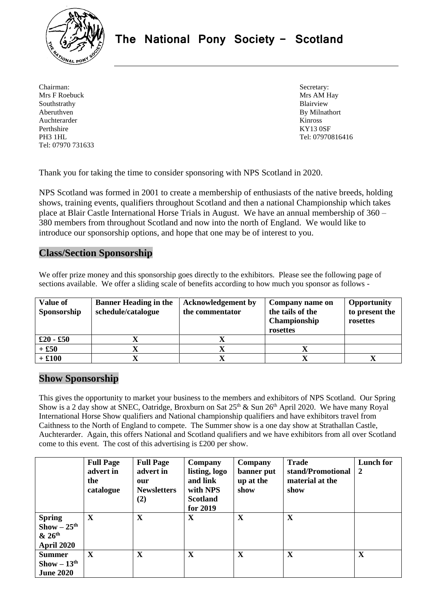

**The National Pony Society - Scotland**

Chairman: Secretary: Secretary: Secretary: Secretary: Secretary: Secretary: Secretary: Secretary: Secretary: Secretary: Secretary: Secretary: Secretary: Secretary: Secretary: Secretary: Secretary: Secretary: Secretary: Sec Mrs F Roebuck Mrs AM Hay Southstrathy **Blairview** Blairview **Blairview** Aberuthven By Milnathort By Milnathort By Milnathort By Milnathort By Milnathort By Milnathort By Milnathort By Milnathort By Milnathort By Milnathort By Milnathort By Milnathort By Milnathort By Milnathort By Milnathort B Auchterarder Kinross Perthshire KY13 0SF PH3 1HL Tel: 07970816416 Tel: 07970 731633

Thank you for taking the time to consider sponsoring with NPS Scotland in 2020.

NPS Scotland was formed in 2001 to create a membership of enthusiasts of the native breeds, holding shows, training events, qualifiers throughout Scotland and then a national Championship which takes place at Blair Castle International Horse Trials in August. We have an annual membership of 360 – 380 members from throughout Scotland and now into the north of England. We would like to introduce our sponsorship options, and hope that one may be of interest to you.

#### **Class/Section Sponsorship**

We offer prize money and this sponsorship goes directly to the exhibitors. Please see the following page of sections available. We offer a sliding scale of benefits according to how much you sponsor as follows -

| <b>Value of</b><br>Sponsorship | <b>Banner Heading in the</b><br>schedule/catalogue | <b>Acknowledgement by</b><br>the commentator | Company name on<br>the tails of the<br><b>Championship</b><br>rosettes | <b>Opportunity</b><br>to present the<br>rosettes |
|--------------------------------|----------------------------------------------------|----------------------------------------------|------------------------------------------------------------------------|--------------------------------------------------|
| $£20 - £50$                    | л                                                  |                                              |                                                                        |                                                  |
| $+ £50$                        | X                                                  |                                              |                                                                        |                                                  |
| $+ $100$                       |                                                    |                                              |                                                                        |                                                  |

#### **Show Sponsorship**

This gives the opportunity to market your business to the members and exhibitors of NPS Scotland. Our Spring Show is a 2 day show at SNEC, Oatridge, Broxburn on Sat 25<sup>th</sup> & Sun 26<sup>th</sup> April 2020. We have many Royal International Horse Show qualifiers and National championship qualifiers and have exhibitors travel from Caithness to the North of England to compete. The Summer show is a one day show at Strathallan Castle, Auchterarder. Again, this offers National and Scotland qualifiers and we have exhibitors from all over Scotland come to this event. The cost of this advertising is £200 per show.

|                                                                         | <b>Full Page</b><br>advert in<br>the<br>catalogue | <b>Full Page</b><br>advert in<br>our<br><b>Newsletters</b><br>(2) | Company<br>listing, logo<br>and link<br>with NPS<br><b>Scotland</b><br>for 2019 | Company<br>banner put<br>up at the<br>show | <b>Trade</b><br>stand/Promotional<br>material at the<br>show | <b>Lunch</b> for<br>$\mathbf{2}$ |
|-------------------------------------------------------------------------|---------------------------------------------------|-------------------------------------------------------------------|---------------------------------------------------------------------------------|--------------------------------------------|--------------------------------------------------------------|----------------------------------|
| <b>Spring</b><br>$Show-25th$<br>& 26 <sup>th</sup><br><b>April 2020</b> | X                                                 | $\mathbf X$                                                       | X                                                                               | X                                          | X                                                            |                                  |
| <b>Summer</b><br>$Show-13th$<br><b>June 2020</b>                        | $\mathbf X$                                       | $\mathbf X$                                                       | $\mathbf X$                                                                     | $\mathbf X$                                | X                                                            | $\mathbf X$                      |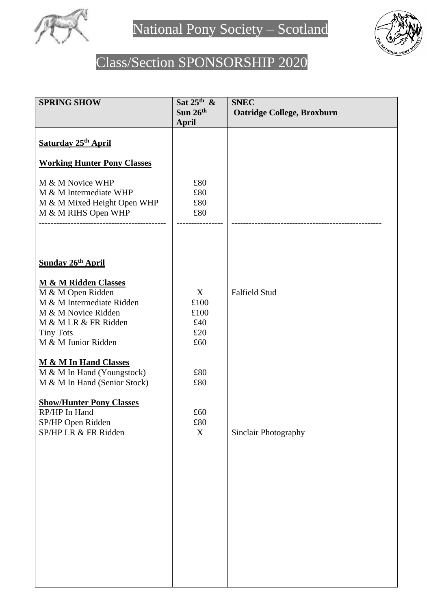

# National Pony Society – Scotland



# Class/Section SPONSORSHIP 2020

| Sat $25^{\text{th}}$ &                               | <b>SNEC</b>                       |
|------------------------------------------------------|-----------------------------------|
| <b>April</b>                                         | <b>Oatridge College, Broxburn</b> |
|                                                      |                                   |
|                                                      |                                   |
| £80<br>£80<br>£80<br>£80                             |                                   |
|                                                      |                                   |
| X<br>£100<br>£100<br>£40<br>£20<br>£60<br>£80<br>£80 | <b>Falfield Stud</b>              |
| $\pounds80$<br>$\mathbf X$                           | Sinclair Photography              |
|                                                      |                                   |
|                                                      |                                   |
|                                                      |                                   |
|                                                      | Sun $26th$<br>£60                 |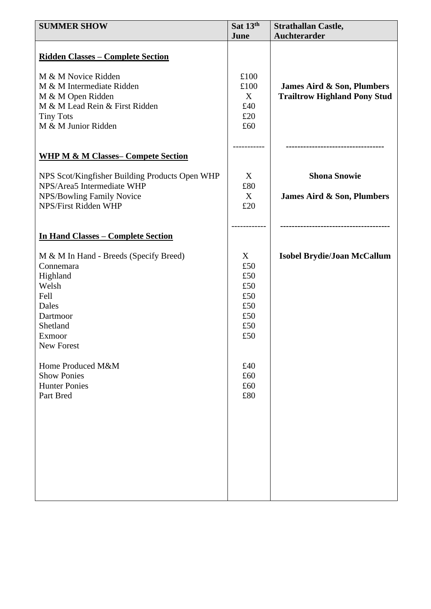| <b>SUMMER SHOW</b>                                                                                                                                 | Sat 13th<br>June                                          | <b>Strathallan Castle,</b><br>Auchterarder                        |
|----------------------------------------------------------------------------------------------------------------------------------------------------|-----------------------------------------------------------|-------------------------------------------------------------------|
| <u> Ridden Classes – Complete Section</u>                                                                                                          |                                                           |                                                                   |
| M & M Novice Ridden<br>M & M Intermediate Ridden<br>M & M Open Ridden<br>M & M Lead Rein & First Ridden<br><b>Tiny Tots</b><br>M & M Junior Ridden | £100<br>£100<br>X<br>£40<br>£20<br>£60                    | James Aird & Son, Plumbers<br><b>Trailtrow Highland Pony Stud</b> |
| <b>WHP M &amp; M Classes– Compete Section</b>                                                                                                      |                                                           |                                                                   |
| NPS Scot/Kingfisher Building Products Open WHP<br>NPS/Area5 Intermediate WHP<br>NPS/Bowling Family Novice<br>NPS/First Ridden WHP                  | X<br>£80<br>X<br>£20                                      | <b>Shona Snowie</b><br><b>James Aird &amp; Son, Plumbers</b>      |
| <b>In Hand Classes – Complete Section</b>                                                                                                          |                                                           | -------------------------------                                   |
| M & M In Hand - Breeds (Specify Breed)<br>Connemara<br>Highland<br>Welsh<br>Fell<br>Dales<br>Dartmoor<br>Shetland<br>Exmoor<br>New Forest          | X<br>£50<br>£50<br>£50<br>£50<br>£50<br>£50<br>£50<br>£50 | <b>Isobel Brydie/Joan McCallum</b>                                |
| Home Produced M&M<br><b>Show Ponies</b><br><b>Hunter Ponies</b><br>Part Bred                                                                       | £40<br>£60<br>£60<br>£80                                  |                                                                   |